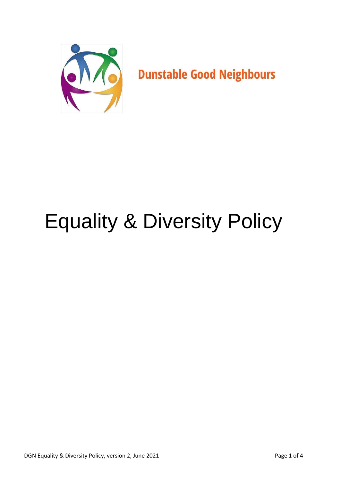

# Equality & Diversity Policy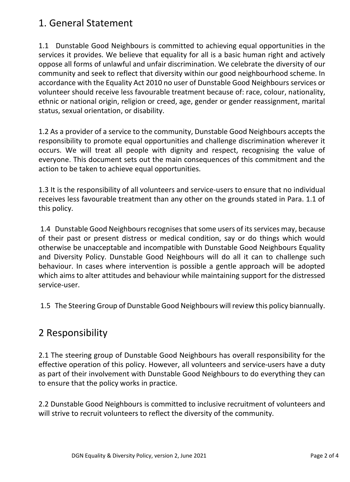# 1. General Statement

1.1 Dunstable Good Neighbours is committed to achieving equal opportunities in the services it provides. We believe that equality for all is a basic human right and actively oppose all forms of unlawful and unfair discrimination. We celebrate the diversity of our community and seek to reflect that diversity within our good neighbourhood scheme. In accordance with the Equality Act 2010 no user of Dunstable Good Neighbours services or volunteer should receive less favourable treatment because of: race, colour, nationality, ethnic or national origin, religion or creed, age, gender or gender reassignment, marital status, sexual orientation, or disability.

1.2 As a provider of a service to the community, Dunstable Good Neighbours accepts the responsibility to promote equal opportunities and challenge discrimination wherever it occurs. We will treat all people with dignity and respect, recognising the value of everyone. This document sets out the main consequences of this commitment and the action to be taken to achieve equal opportunities.

1.3 It is the responsibility of all volunteers and service-users to ensure that no individual receives less favourable treatment than any other on the grounds stated in Para. 1.1 of this policy.

1.4 Dunstable Good Neighbours recognises that some users of its services may, because of their past or present distress or medical condition, say or do things which would otherwise be unacceptable and incompatible with Dunstable Good Neighbours Equality and Diversity Policy. Dunstable Good Neighbours will do all it can to challenge such behaviour. In cases where intervention is possible a gentle approach will be adopted which aims to alter attitudes and behaviour while maintaining support for the distressed service-user.

1.5 The Steering Group of Dunstable Good Neighbours will review this policy biannually.

# 2 Responsibility

2.1 The steering group of Dunstable Good Neighbours has overall responsibility for the effective operation of this policy. However, all volunteers and service-users have a duty as part of their involvement with Dunstable Good Neighbours to do everything they can to ensure that the policy works in practice.

2.2 Dunstable Good Neighbours is committed to inclusive recruitment of volunteers and will strive to recruit volunteers to reflect the diversity of the community.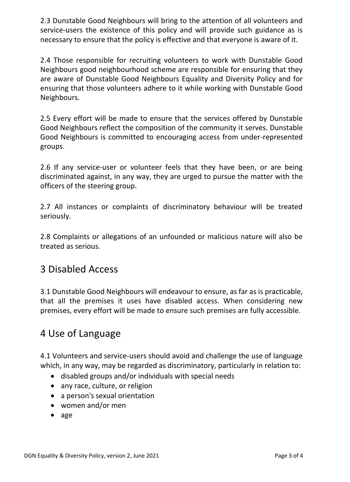2.3 Dunstable Good Neighbours will bring to the attention of all volunteers and service-users the existence of this policy and will provide such guidance as is necessary to ensure that the policy is effective and that everyone is aware of it.

2.4 Those responsible for recruiting volunteers to work with Dunstable Good Neighbours good neighbourhood scheme are responsible for ensuring that they are aware of Dunstable Good Neighbours Equality and Diversity Policy and for ensuring that those volunteers adhere to it while working with Dunstable Good Neighbours.

2.5 Every effort will be made to ensure that the services offered by Dunstable Good Neighbours reflect the composition of the community it serves. Dunstable Good Neighbours is committed to encouraging access from under-represented groups.

2.6 If any service-user or volunteer feels that they have been, or are being discriminated against, in any way, they are urged to pursue the matter with the officers of the steering group.

2.7 All instances or complaints of discriminatory behaviour will be treated seriously.

2.8 Complaints or allegations of an unfounded or malicious nature will also be treated as serious.

#### 3 Disabled Access

3.1 Dunstable Good Neighbours will endeavour to ensure, as far as is practicable, that all the premises it uses have disabled access. When considering new premises, every effort will be made to ensure such premises are fully accessible.

## 4 Use of Language

4.1 Volunteers and service-users should avoid and challenge the use of language which, in any way, may be regarded as discriminatory, particularly in relation to:

- disabled groups and/or individuals with special needs
- any race, culture, or religion
- a person's sexual orientation
- women and/or men
- age